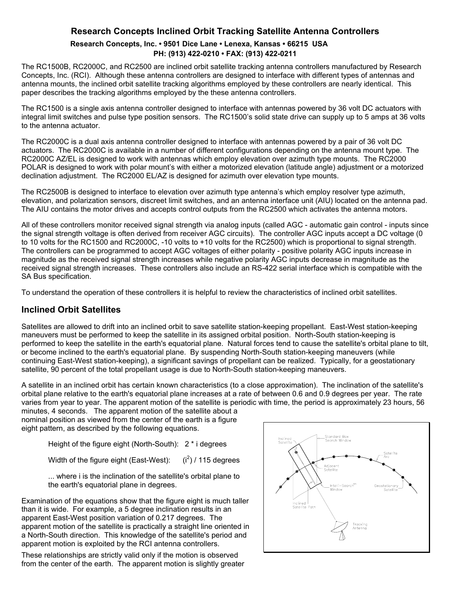## **Research Concepts Inclined Orbit Tracking Satellite Antenna Controllers Research Concepts, Inc. • 9501 Dice Lane • Lenexa, Kansas • 66215 USA PH: (913) 422-0210 • FAX: (913) 422-0211**

The RC1500B, RC2000C, and RC2500 are inclined orbit satellite tracking antenna controllers manufactured by Research Concepts, Inc. (RCI). Although these antenna controllers are designed to interface with different types of antennas and antenna mounts, the inclined orbit satellite tracking algorithms employed by these controllers are nearly identical. This paper describes the tracking algorithms employed by the these antenna controllers.

The RC1500 is a single axis antenna controller designed to interface with antennas powered by 36 volt DC actuators with integral limit switches and pulse type position sensors. The RC1500's solid state drive can supply up to 5 amps at 36 volts to the antenna actuator.

The RC2000C is a dual axis antenna controller designed to interface with antennas powered by a pair of 36 volt DC actuators. The RC2000C is available in a number of different configurations depending on the antenna mount type. The RC2000C AZ/EL is designed to work with antennas which employ elevation over azimuth type mounts. The RC2000 POLAR is designed to work with polar mount's with either a motorized elevation (latitude angle) adjustment or a motorized declination adjustment. The RC2000 EL/AZ is designed for azimuth over elevation type mounts.

The RC2500B is designed to interface to elevation over azimuth type antenna's which employ resolver type azimuth, elevation, and polarization sensors, discreet limit switches, and an antenna interface unit (AIU) located on the antenna pad. The AIU contains the motor drives and accepts control outputs from the RC2500 which activates the antenna motors.

All of these controllers monitor received signal strength via analog inputs (called AGC - automatic gain control - inputs since the signal strength voltage is often derived from receiver AGC circuits). The controller AGC inputs accept a DC voltage (0 to 10 volts for the RC1500 and RC2000C, -10 volts to +10 volts for the RC2500) which is proportional to signal strength. The controllers can be programmed to accept AGC voltages of either polarity - positive polarity AGC inputs increase in magnitude as the received signal strength increases while negative polarity AGC inputs decrease in magnitude as the received signal strength increases. These controllers also include an RS-422 serial interface which is compatible with the SA Bus specification.

To understand the operation of these controllers it is helpful to review the characteristics of inclined orbit satellites.

# **Inclined Orbit Satellites**

Satellites are allowed to drift into an inclined orbit to save satellite station-keeping propellant. East-West station-keeping maneuvers must be performed to keep the satellite in its assigned orbital position. North-South station-keeping is performed to keep the satellite in the earth's equatorial plane. Natural forces tend to cause the satellite's orbital plane to tilt, or become inclined to the earth's equatorial plane. By suspending North-South station-keeping maneuvers (while continuing East-West station-keeping), a significant savings of propellant can be realized. Typically, for a geostationary satellite, 90 percent of the total propellant usage is due to North-South station-keeping maneuvers.

A satellite in an inclined orbit has certain known characteristics (to a close approximation). The inclination of the satellite's orbital plane relative to the earth's equatorial plane increases at a rate of between 0.6 and 0.9 degrees per year. The rate varies from year to year. The apparent motion of the satellite is periodic with time, the period is approximately 23 hours, 56

minutes, 4 seconds. The apparent motion of the satellite about a nominal position as viewed from the center of the earth is a figure eight pattern, as described by the following equations.

Height of the figure eight (North-South): 2 \* i degrees

Width of the figure eight (East-West):  $(i^2)$  / 115 degrees

... where i is the inclination of the satellite's orbital plane to the earth's equatorial plane in degrees.

Examination of the equations show that the figure eight is much taller than it is wide. For example, a 5 degree inclination results in an apparent East-West position variation of 0.217 degrees. The apparent motion of the satellite is practically a straight line oriented in a North-South direction. This knowledge of the satellite's period and apparent motion is exploited by the RCI antenna controllers.

These relationships are strictly valid only if the motion is observed from the center of the earth. The apparent motion is slightly greater